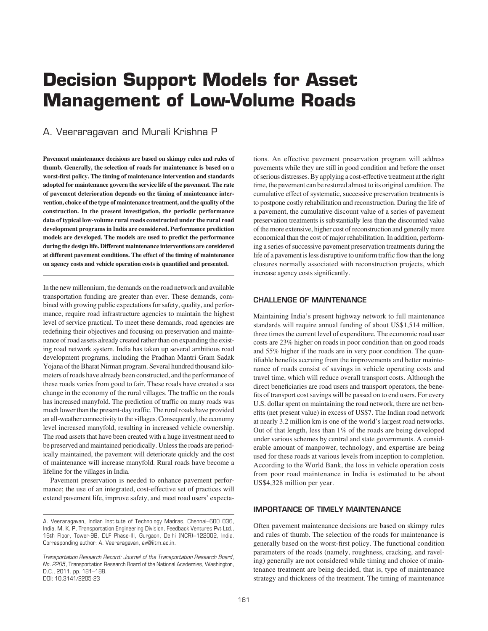# **Decision Support Models for Asset Management of Low-Volume Roads**

A. Veeraragavan and Murali Krishna P

**Pavement maintenance decisions are based on skimpy rules and rules of thumb. Generally, the selection of roads for maintenance is based on a worst-first policy. The timing of maintenance intervention and standards adopted for maintenance govern the service life of the pavement. The rate of pavement deterioration depends on the timing of maintenance intervention, choice of the type of maintenance treatment, and the quality of the construction. In the present investigation, the periodic performance data of typical low-volume rural roads constructed under the rural road development programs in India are considered. Performance prediction models are developed. The models are used to predict the performance during the design life. Different maintenance interventions are considered at different pavement conditions. The effect of the timing of maintenance on agency costs and vehicle operation costs is quantified and presented.**

In the new millennium, the demands on the road network and available transportation funding are greater than ever. These demands, combined with growing public expectations for safety, quality, and performance, require road infrastructure agencies to maintain the highest level of service practical. To meet these demands, road agencies are redefining their objectives and focusing on preservation and maintenance of road assets already created rather than on expanding the existing road network system. India has taken up several ambitious road development programs, including the Pradhan Mantri Gram Sadak Yojana of the Bharat Nirman program. Several hundred thousand kilometers of roads have already been constructed, and the performance of these roads varies from good to fair. These roads have created a sea change in the economy of the rural villages. The traffic on the roads has increased manyfold. The prediction of traffic on many roads was much lower than the present-day traffic. The rural roads have provided an all-weather connectivity to the villages. Consequently, the economy level increased manyfold, resulting in increased vehicle ownership. The road assets that have been created with a huge investment need to be preserved and maintained periodically. Unless the roads are periodically maintained, the pavement will deteriorate quickly and the cost of maintenance will increase manyfold. Rural roads have become a lifeline for the villages in India.

Pavement preservation is needed to enhance pavement performance; the use of an integrated, cost-effective set of practices will extend pavement life, improve safety, and meet road users' expecta-

tions. An effective pavement preservation program will address pavements while they are still in good condition and before the onset of serious distresses. By applying a cost-effective treatment at the right time, the pavement can be restored almost to its original condition. The cumulative effect of systematic, successive preservation treatments is to postpone costly rehabilitation and reconstruction. During the life of a pavement, the cumulative discount value of a series of pavement preservation treatments is substantially less than the discounted value of the more extensive, higher cost of reconstruction and generally more economical than the cost of major rehabilitation. In addition, performing a series of successive pavement preservation treatments during the life of a pavement is less disruptive to uniform traffic flow than the long closures normally associated with reconstruction projects, which increase agency costs significantly.

# CHALLENGE OF MAINTENANCE

Maintaining India's present highway network to full maintenance standards will require annual funding of about US\$1,514 million, three times the current level of expenditure. The economic road user costs are 23% higher on roads in poor condition than on good roads and 55% higher if the roads are in very poor condition. The quantifiable benefits accruing from the improvements and better maintenance of roads consist of savings in vehicle operating costs and travel time, which will reduce overall transport costs. Although the direct beneficiaries are road users and transport operators, the benefits of transport cost savings will be passed on to end users. For every U.S. dollar spent on maintaining the road network, there are net benefits (net present value) in excess of US\$7. The Indian road network at nearly 3.2 million km is one of the world's largest road networks. Out of that length, less than 1% of the roads are being developed under various schemes by central and state governments. A considerable amount of manpower, technology, and expertise are being used for these roads at various levels from inception to completion. According to the World Bank, the loss in vehicle operation costs from poor road maintenance in India is estimated to be about US\$4,328 million per year.

# IMPORTANCE OF TIMELY MAINTENANCE

Often pavement maintenance decisions are based on skimpy rules and rules of thumb. The selection of the roads for maintenance is generally based on the worst-first policy. The functional condition parameters of the roads (namely, roughness, cracking, and raveling) generally are not considered while timing and choice of maintenance treatment are being decided, that is, type of maintenance strategy and thickness of the treatment. The timing of maintenance

A. Veeraragavan, Indian Institute of Technology Madras, Chennai–600 036, India. M. K. P, Transportation Engineering Division, Feedback Ventures Pvt Ltd., 16th Floor, Tower-9B, DLF Phase-III, Gurgaon, Delhi (NCR)–122002, India. Corresponding author: A. Veeraragavan, av@iitm.ac.in.

*Transportation Research Record: Journal of the Transportation Research Board, No. 2205,* Transportation Research Board of the National Academies, Washington, D.C., 2011, pp. 181–188. DOI: 10.3141/2205-23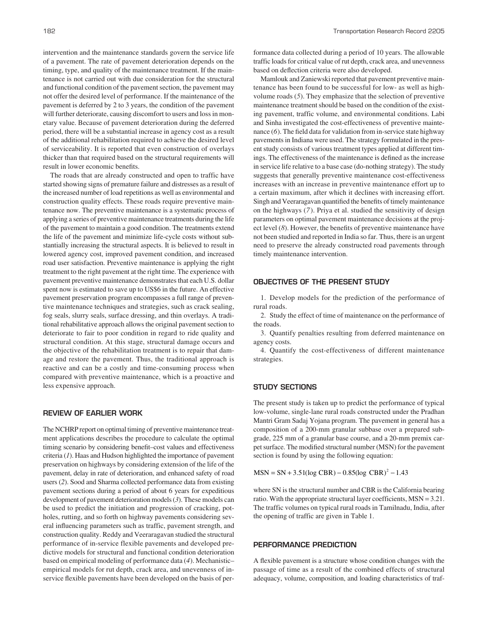intervention and the maintenance standards govern the service life of a pavement. The rate of pavement deterioration depends on the timing, type, and quality of the maintenance treatment. If the maintenance is not carried out with due consideration for the structural and functional condition of the pavement section, the pavement may not offer the desired level of performance. If the maintenance of the pavement is deferred by 2 to 3 years, the condition of the pavement will further deteriorate, causing discomfort to users and loss in monetary value. Because of pavement deterioration during the deferred period, there will be a substantial increase in agency cost as a result of the additional rehabilitation required to achieve the desired level of serviceability. It is reported that even construction of overlays thicker than that required based on the structural requirements will result in lower economic benefits.

The roads that are already constructed and open to traffic have started showing signs of premature failure and distresses as a result of the increased number of load repetitions as well as environmental and construction quality effects. These roads require preventive maintenance now. The preventive maintenance is a systematic process of applying a series of preventive maintenance treatments during the life of the pavement to maintain a good condition. The treatments extend the life of the pavement and minimize life-cycle costs without substantially increasing the structural aspects. It is believed to result in lowered agency cost, improved pavement condition, and increased road user satisfaction. Preventive maintenance is applying the right treatment to the right pavement at the right time. The experience with pavement preventive maintenance demonstrates that each U.S. dollar spent now is estimated to save up to US\$6 in the future. An effective pavement preservation program encompasses a full range of preventive maintenance techniques and strategies, such as crack sealing, fog seals, slurry seals, surface dressing, and thin overlays. A traditional rehabilitative approach allows the original pavement section to deteriorate to fair to poor condition in regard to ride quality and structural condition. At this stage, structural damage occurs and the objective of the rehabilitation treatment is to repair that damage and restore the pavement. Thus, the traditional approach is reactive and can be a costly and time-consuming process when compared with preventive maintenance, which is a proactive and less expensive approach.

# REVIEW OF EARLIER WORK

The NCHRP report on optimal timing of preventive maintenance treatment applications describes the procedure to calculate the optimal timing scenario by considering benefit–cost values and effectiveness criteria (*1*). Haas and Hudson highlighted the importance of pavement preservation on highways by considering extension of the life of the pavement, delay in rate of deterioration, and enhanced safety of road users (*2*). Sood and Sharma collected performance data from existing pavement sections during a period of about 6 years for expeditious development of pavement deterioration models (*3*). These models can be used to predict the initiation and progression of cracking, potholes, rutting, and so forth on highway pavements considering several influencing parameters such as traffic, pavement strength, and construction quality. Reddy and Veeraragavan studied the structural performance of in-service flexible pavements and developed predictive models for structural and functional condition deterioration based on empirical modeling of performance data (*4*). Mechanistic– empirical models for rut depth, crack area, and unevenness of inservice flexible pavements have been developed on the basis of performance data collected during a period of 10 years. The allowable traffic loads for critical value of rut depth, crack area, and unevenness based on deflection criteria were also developed.

Mamlouk and Zaniewski reported that pavement preventive maintenance has been found to be successful for low- as well as highvolume roads (*5*). They emphasize that the selection of preventive maintenance treatment should be based on the condition of the existing pavement, traffic volume, and environmental conditions. Labi and Sinha investigated the cost-effectiveness of preventive maintenance (*6*). The field data for validation from in-service state highway pavements in Indiana were used. The strategy formulated in the present study consists of various treatment types applied at different timings. The effectiveness of the maintenance is defined as the increase in service life relative to a base case (do-nothing strategy). The study suggests that generally preventive maintenance cost-effectiveness increases with an increase in preventive maintenance effort up to a certain maximum, after which it declines with increasing effort. Singh and Veeraragavan quantified the benefits of timely maintenance on the highways (*7*). Priya et al. studied the sensitivity of design parameters on optimal pavement maintenance decisions at the project level (*8*). However, the benefits of preventive maintenance have not been studied and reported in India so far. Thus, there is an urgent need to preserve the already constructed road pavements through timely maintenance intervention.

#### OBJECTIVES OF THE PRESENT STUDY

1. Develop models for the prediction of the performance of rural roads.

2. Study the effect of time of maintenance on the performance of the roads.

3. Quantify penalties resulting from deferred maintenance on agency costs.

4. Quantify the cost-effectiveness of different maintenance strategies.

#### STUDY SECTIONS

The present study is taken up to predict the performance of typical low-volume, single-lane rural roads constructed under the Pradhan Mantri Gram Sadaj Yojana program. The pavement in general has a composition of a 200-mm granular subbase over a prepared subgrade, 225 mm of a granular base course, and a 20-mm premix carpet surface. The modified structural number (MSN) for the pavement section is found by using the following equation:

 $MSN = SN + 3.51(\log CBR) - 0.85(\log CBR)^2 - 1.43$ 

where SN is the structural number and CBR is the California bearing ratio. With the appropriate structural layer coefficients, MSN = 3.21. The traffic volumes on typical rural roads in Tamilnadu, India, after the opening of traffic are given in Table 1.

#### PERFORMANCE PREDICTION

A flexible pavement is a structure whose condition changes with the passage of time as a result of the combined effects of structural adequacy, volume, composition, and loading characteristics of traf-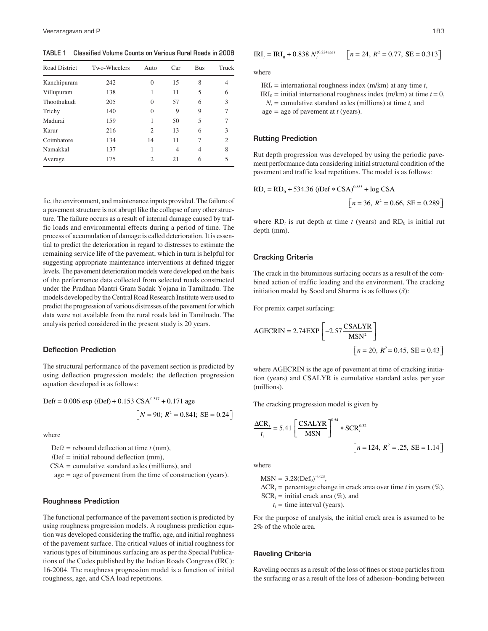**TABLE 1** Classified Volume Counts on Various Rural Roads in 2008  $\qquad$  I

| Road District | Two-Wheelers | Auto           | Car | <b>Bus</b> | Truck          |
|---------------|--------------|----------------|-----|------------|----------------|
| Kanchipuram   | 242          | $\theta$       | 15  | 8          | 4              |
| Villupuram    | 138          |                | 11  | 5          | 6              |
| Thoothukudi   | 205          | $\theta$       | 57  | 6          | 3              |
| Trichy        | 140          | $\theta$       | 9   | 9          | 7              |
| Madurai       | 159          | 1              | 50  | 5          | 7              |
| Karur         | 216          | $\overline{c}$ | 13  | 6          | 3              |
| Coimbatore    | 134          | 14             | 11  |            | $\overline{c}$ |
| Namakkal      | 137          | 1              | 4   | 4          | 8              |
| Average       | 175          | $\overline{c}$ | 21  | 6          | 5              |

fic, the environment, and maintenance inputs provided. The failure of a pavement structure is not abrupt like the collapse of any other structure. The failure occurs as a result of internal damage caused by traffic loads and environmental effects during a period of time. The process of accumulation of damage is called deterioration. It is essential to predict the deterioration in regard to distresses to estimate the remaining service life of the pavement, which in turn is helpful for suggesting appropriate maintenance interventions at defined trigger levels. The pavement deterioration models were developed on the basis of the performance data collected from selected roads constructed under the Pradhan Mantri Gram Sadak Yojana in Tamilnadu. The models developed by the Central Road Research Institute were used to predict the progression of various distresses of the pavement for which data were not available from the rural roads laid in Tamilnadu. The analysis period considered in the present study is 20 years.

#### Deflection Prediction

The structural performance of the pavement section is predicted by using deflection progression models; the deflection progression equation developed is as follows:

 $\text{Def } t = 0.006 \text{ exp } (i \text{Def}) + 0.153 \text{ CSA}^{0.317} + 0.171 \text{ age}$  $[N = 90; R^2 = 0.841; SE = 0.24]$ 

where

Def*t* = rebound deflection at time *t* (mm),

 $i$ Def = initial rebound deflection (mm),

CSA = cumulative standard axles (millions), and

age = age of pavement from the time of construction (years).

## Roughness Prediction

The functional performance of the pavement section is predicted by using roughness progression models. A roughness prediction equation was developed considering the traffic, age, and initial roughness of the pavement surface. The critical values of initial roughness for various types of bituminous surfacing are as per the Special Publications of the Codes published by the Indian Roads Congress (IRC): 16-2004. The roughness progression model is a function of initial roughness, age, and CSA load repetitions.

$$
IRI_t = IRI_0 + 0.838 N_t^{(0.224 \text{age})} \qquad [n = 24, R^2 = 0.77, SE = 0.313]
$$

where

IRI<sub>t</sub> = international roughness index (m/km) at any time  $t$ ,

 $IRI<sub>0</sub> = initial international roughness index (m/km) at time  $t = 0$ ,$  $N_t$  = cumulative standard axles (millions) at time *t*, and

age = age of pavement at *t* (years).

#### Rutting Prediction

Rut depth progression was developed by using the periodic pavement performance data considering initial structural condition of the pavement and traffic load repetitions. The model is as follows:

RD<sub>t</sub> = RD<sub>0</sub> + 534.36 (iDef \* CSA)<sup>0.855</sup> + log CSA  

$$
\left[ n = 36, R^2 = 0.66, SE = 0.289 \right]
$$

where  $RD_t$  is rut depth at time *t* (years) and  $RD_0$  is initial rut depth (mm).

## Cracking Criteria

The crack in the bituminous surfacing occurs as a result of the combined action of traffic loading and the environment. The cracking initiation model by Sood and Sharma is as follows (*3*):

For premix carpet surfacing:

AGECRIN = 2.74EXP 
$$
\left[-2.57 \frac{\text{CSALYR}}{\text{MSN}^2}\right]
$$
  
 $\left[n = 20, R^2 = 0.45, \text{SE} = 0.43\right]$ 

where AGECRIN is the age of pavement at time of cracking initiation (years) and CSALYR is cumulative standard axles per year (millions).

The cracking progression model is given by

$$
\frac{\Delta CR_i}{t_i} = 5.41 \left[ \frac{\text{CSALYR}}{\text{MSN}} \right]^{0.54} * \text{SCR}_i^{0.32}
$$
  
\n
$$
\left[ n = 124, R^2 = .25, \text{ SE} = 1.14 \right]
$$

where

 $MSN = 3.28 (Def<sub>0</sub>)<sup>-0.23</sup>$ ,

- $\Delta$ CR<sub>t</sub> = percentage change in crack area over time *t* in years (%),
- $SCR<sub>i</sub> = initial crack area (\%)$ , and

 $t_i$  = time interval (years).

For the purpose of analysis, the initial crack area is assumed to be 2% of the whole area.

#### Raveling Criteria

Raveling occurs as a result of the loss of fines or stone particles from the surfacing or as a result of the loss of adhesion–bonding between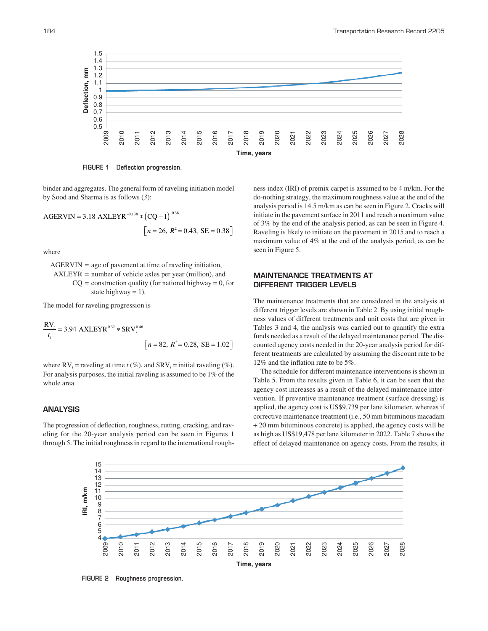

**FIGURE 1 Deflection progression.**

binder and aggregates. The general form of raveling initiation model by Sood and Sharma is as follows (*3*):

AGERVIN = 3.18 AXLEYR<sup>-0.138</sup> \* 
$$
(CQ + 1)^{-0.38}
$$
  
\n
$$
\left[ n = 26, R^2 = 0.43, SE = 0.38 \right]
$$

where

AGERVIN = age of pavement at time of raveling initiation, AXLEYR = number of vehicle axles per year (million), and

 $CQ =$  construction quality (for national highway = 0, for state highway  $= 1$ ).

The model for raveling progression is

$$
\frac{RV_{t}}{t_{i}} = 3.94 \text{ AXLEYR}^{0.32} * SRV_{i}^{0.46}
$$

$$
\left[ n = 82, R^{2} = 0.28, SE = 1.02 \right]
$$

where  $RV<sub>t</sub>$  = raveling at time  $t$  (%), and  $SRV<sub>i</sub>$  = initial raveling (%). For analysis purposes, the initial raveling is assumed to be 1% of the whole area.

#### ANALYSIS

The progression of deflection, roughness, rutting, cracking, and raveling for the 20-year analysis period can be seen in Figures 1 through 5. The initial roughness in regard to the international rough-

ness index (IRI) of premix carpet is assumed to be 4 m/km. For the do-nothing strategy, the maximum roughness value at the end of the analysis period is 14.5 m/km as can be seen in Figure 2. Cracks will initiate in the pavement surface in 2011 and reach a maximum value of 3% by the end of the analysis period, as can be seen in Figure 4. Raveling is likely to initiate on the pavement in 2015 and to reach a maximum value of 4% at the end of the analysis period, as can be seen in Figure 5.

# MAINTENANCE TREATMENTS AT DIFFERENT TRIGGER LEVELS

The maintenance treatments that are considered in the analysis at different trigger levels are shown in Table 2. By using initial roughness values of different treatments and unit costs that are given in Tables 3 and 4, the analysis was carried out to quantify the extra funds needed as a result of the delayed maintenance period. The discounted agency costs needed in the 20-year analysis period for different treatments are calculated by assuming the discount rate to be 12% and the inflation rate to be 5%.

The schedule for different maintenance interventions is shown in Table 5. From the results given in Table 6, it can be seen that the agency cost increases as a result of the delayed maintenance intervention. If preventive maintenance treatment (surface dressing) is applied, the agency cost is US\$9,739 per lane kilometer, whereas if corrective maintenance treatment (i.e., 50 mm bituminous macadam + 20 mm bituminous concrete) is applied, the agency costs will be as high as US\$19,478 per lane kilometer in 2022. Table 7 shows the effect of delayed maintenance on agency costs. From the results, it



**FIGURE 2 Roughness progression.**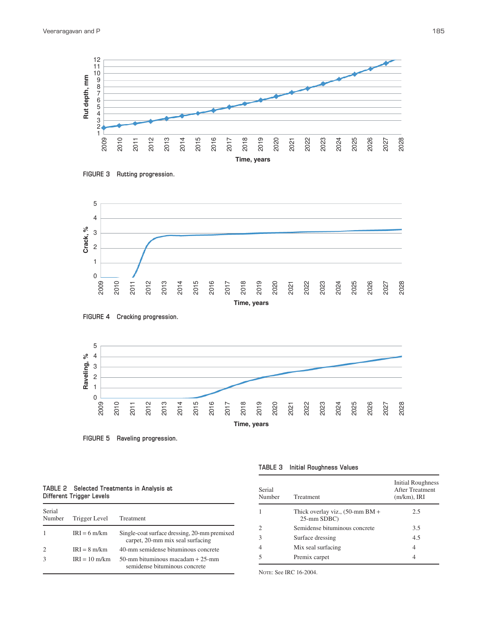









**FIGURE 5 Raveling progression.**

|                          | TABLE 2 Selected Treatments in Analysis at |  |  |
|--------------------------|--------------------------------------------|--|--|
| Different Trigger Levels |                                            |  |  |

| Serial<br>Number | Trigger Level   | Treatment                                                                        |
|------------------|-----------------|----------------------------------------------------------------------------------|
| $\mathbf{1}$     | $IRI = 6$ m/km  | Single-coat surface dressing, 20-mm premixed<br>carpet, 20-mm mix seal surfacing |
| $\mathcal{L}$    | $IRI = 8$ m/km  | 40-mm semidense bituminous concrete                                              |
| $\mathcal{R}$    | $IRI = 10$ m/km | $50$ -mm bituminous macadam $+25$ -mm<br>semidense bituminous concrete           |

| TABLE 3 |  | Initial Roughness Values |
|---------|--|--------------------------|
|---------|--|--------------------------|

| Serial<br>Number | Treatment                                         | Initial Roughness<br>After Treatment<br>$(m/km)$ , IRI |
|------------------|---------------------------------------------------|--------------------------------------------------------|
|                  | Thick overlay viz., $(50$ -mm BM +<br>25-mm SDBC) | 2.5                                                    |
| 2                | Semidense bituminous concrete                     | 3.5                                                    |
| 3                | Surface dressing                                  | 4.5                                                    |
|                  | Mix seal surfacing                                | 4                                                      |
|                  | Premix carpet                                     | 4                                                      |

NOTE: See IRC 16-2004.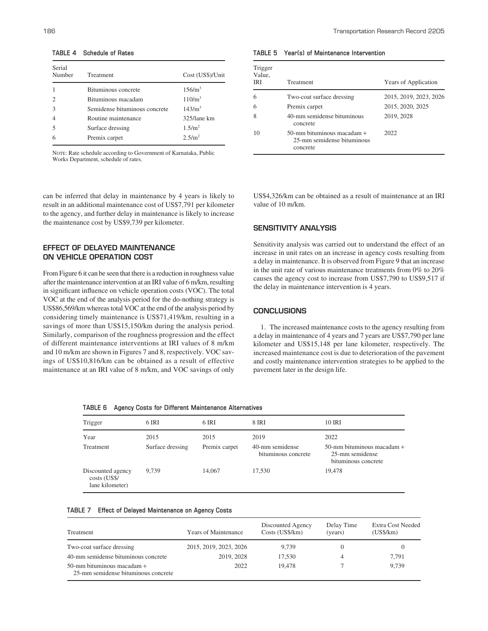| TABLE 4 | <b>Schedule of Rates</b> |  |
|---------|--------------------------|--|
|---------|--------------------------|--|

| Serial<br>Number | Treatment                     | Cost (US\$)/Unit   |
|------------------|-------------------------------|--------------------|
|                  | Bituminous concrete           | $156/m^3$          |
| $\mathfrak{D}$   | Bituminous macadam            | $110/m^3$          |
|                  | Semidense bituminous concrete | 143/m <sup>3</sup> |
|                  | Routine maintenance           | 325/lane km        |
|                  | Surface dressing              | $1.5/m^2$          |
|                  | Premix carpet                 | 2.5/m <sup>2</sup> |
|                  |                               |                    |

NOTE: Rate schedule according to Government of Karnataka, Public Works Department, schedule of rates.

can be inferred that delay in maintenance by 4 years is likely to result in an additional maintenance cost of US\$7,791 per kilometer to the agency, and further delay in maintenance is likely to increase the maintenance cost by US\$9,739 per kilometer.

# EFFECT OF DELAYED MAINTENANCE ON VEHICLE OPERATION COST

From Figure 6 it can be seen that there is a reduction in roughness value after the maintenance intervention at an IRI value of 6 m/km, resulting in significant influence on vehicle operation costs (VOC). The total VOC at the end of the analysis period for the do-nothing strategy is US\$86,569/km whereas total VOC at the end of the analysis period by considering timely maintenance is US\$71,419/km, resulting in a savings of more than US\$15,150/km during the analysis period. Similarly, comparison of the roughness progression and the effect of different maintenance interventions at IRI values of 8 m/km and 10 m/km are shown in Figures 7 and 8, respectively. VOC savings of US\$10,816/km can be obtained as a result of effective maintenance at an IRI value of 8 m/km, and VOC savings of only

**TABLE 5 Year(s) of Maintenance Intervention**

| Trigger<br>Value,<br><b>IRI</b> | Treatment                                                                 | Years of Application   |
|---------------------------------|---------------------------------------------------------------------------|------------------------|
| 6                               | Two-coat surface dressing                                                 | 2015, 2019, 2023, 2026 |
| 6                               | Premix carpet                                                             | 2015, 2020, 2025       |
| 8                               | 40-mm semidense bituminous<br>concrete                                    | 2019, 2028             |
| 10                              | $50$ -mm bituminous macadam $+$<br>25-mm semidense bituminous<br>concrete | 2022                   |

US\$4,326/km can be obtained as a result of maintenance at an IRI value of 10 m/km.

# SENSITIVITY ANALYSIS

Sensitivity analysis was carried out to understand the effect of an increase in unit rates on an increase in agency costs resulting from a delay in maintenance. It is observed from Figure 9 that an increase in the unit rate of various maintenance treatments from 0% to 20% causes the agency cost to increase from US\$7,790 to US\$9,517 if the delay in maintenance intervention is 4 years.

# **CONCLUSIONS**

1. The increased maintenance costs to the agency resulting from a delay in maintenance of 4 years and 7 years are US\$7,790 per lane kilometer and US\$15,148 per lane kilometer, respectively. The increased maintenance cost is due to deterioration of the pavement and costly maintenance intervention strategies to be applied to the pavement later in the design life.

#### **TABLE 6 Agency Costs for Different Maintenance Alternatives**

| Trigger                                              | 6 IRI            | 6 IRI         | 8 IRI                                  | 10 IRI                                                                  |
|------------------------------------------------------|------------------|---------------|----------------------------------------|-------------------------------------------------------------------------|
| Year                                                 | 2015             | 2015          | 2019                                   | 2022                                                                    |
| Treatment                                            | Surface dressing | Premix carpet | 40-mm semidense<br>bituminous concrete | $50$ -mm bituminous macadam +<br>25-mm semidense<br>bituminous concrete |
| Discounted agency<br>costs (US\$/<br>lane kilometer) | 9.739            | 14,067        | 17.530                                 | 19.478                                                                  |

#### **TABLE 7 Effect of Delayed Maintenance on Agency Costs**

| Treatment                                                            | <b>Years of Maintenance</b> | Discounted Agency<br>Costs (USS/km) | Delay Time<br>(years) | Extra Cost Needed<br>(US\$/km) |
|----------------------------------------------------------------------|-----------------------------|-------------------------------------|-----------------------|--------------------------------|
| Two-coat surface dressing                                            | 2015, 2019, 2023, 2026      | 9.739                               |                       |                                |
| 40-mm semidense bituminous concrete                                  | 2019, 2028                  | 17.530                              |                       | 7.791                          |
| $50$ -mm bituminous macadam +<br>25-mm semidense bituminous concrete | 2022                        | 19.478                              |                       | 9.739                          |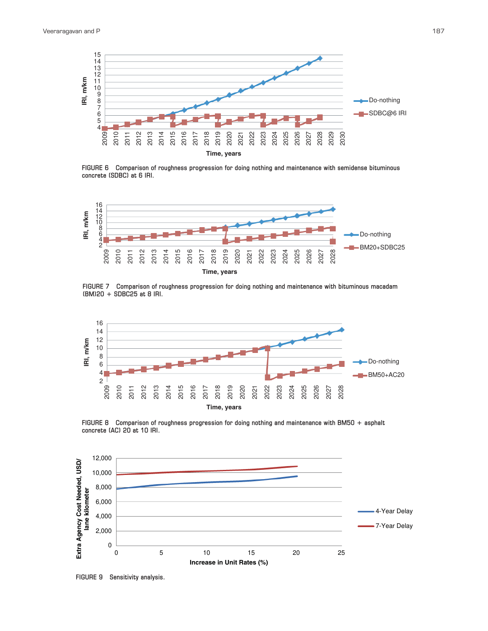

**FIGURE 6 Comparison of roughness progression for doing nothing and maintenance with semidense bituminous concrete (SDBC) at 6 IRI.**



**FIGURE 7 Comparison of roughness progression for doing nothing and maintenance with bituminous macadam (BM)20** - **SDBC25 at 8 IRI.**



**FIGURE 8 Comparison of roughness progression for doing nothing and maintenance with BM50** - **asphalt concrete (AC) 20 at 10 IRI.**



**FIGURE 9 Sensitivity analysis.**